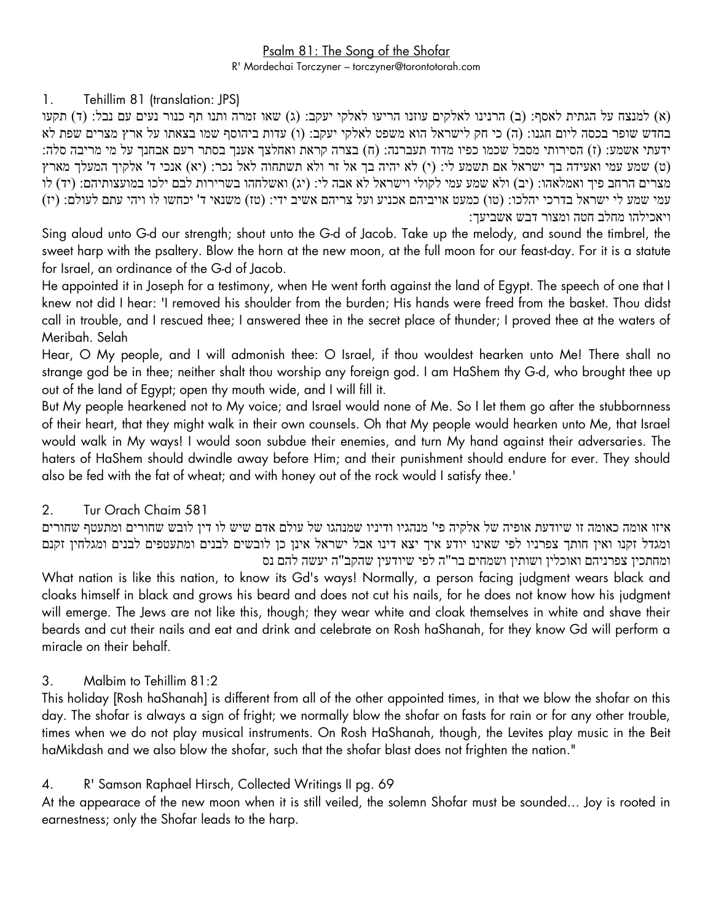# Psalm 81: The Song of the Shofar

R' Mordechai Torczyner – torczyner@torontotorah.com

#### 1. Tehillim 81 (translation: JPS)

)א( למנצח על הגתית לאסף: )ב( הרנינו לאלקים עוזנו הריעו לאלקי יעקב: )ג( שאו זמרה ותנו תף כנור נעים עם נבל: )ד( תקעו בחדש שופר בכסה ליום חגנו: )ה( כי חק לישראל הוא משפט לאלקי יעקב: )ו( עדות ביהוסף שמו בצאתו על ארץ מצרים שפת לא ידעתי אשמע: (ז) הסירותי מסבל שכמו כפיו מדוד תעברנה: (ח) בצרה קראת ואחלצך אענך בסתר רעם אבחנך על מי מריבה סלה: ט) שמע עמי ואעידה בך ישראל אם תשמע לי: (י) לא יהיה בך אל זר ולא תשתחוה לאל נכר: (יא) אנכי ד' אלקיך המעלך מארץ מצרים הרחב פיך ואמלאהו: (יב) ולא שמע עמי לקולי וישראל לא אבה לי: (יג) ואשלחהו בשרירות לבם ילכו במועצותיהם: (יד) לו עמי שמע לי ישראל בדרכי יהלכו: (טו) כמעט אויביהם אכניע ועל צריהם אשיב ידי: (טז) משנאי ד' יכחשו לו ויהי עתם לעולם: (יז) ויאכילהו מחלב חטה ומצור דבש אשביעך:

Sing aloud unto G-d our strength; shout unto the G-d of Jacob. Take up the melody, and sound the timbrel, the sweet harp with the psaltery. Blow the horn at the new moon, at the full moon for our feast-day. For it is a statute for Israel, an ordinance of the G-d of Jacob.

He appointed it in Joseph for a testimony, when He went forth against the land of Egypt. The speech of one that I knew not did I hear: 'I removed his shoulder from the burden; His hands were freed from the basket. Thou didst call in trouble, and I rescued thee; I answered thee in the secret place of thunder; I proved thee at the waters of Meribah. Selah

Hear, O My people, and I will admonish thee: O Israel, if thou wouldest hearken unto Me! There shall no strange god be in thee; neither shalt thou worship any foreign god. I am HaShem thy G-d, who brought thee up out of the land of Egypt; open thy mouth wide, and I will fill it.

But My people hearkened not to My voice; and Israel would none of Me. So I let them go after the stubbornness of their heart, that they might walk in their own counsels. Oh that My people would hearken unto Me, that Israel would walk in My ways! I would soon subdue their enemies, and turn My hand against their adversaries. The haters of HaShem should dwindle away before Him; and their punishment should endure for ever. They should also be fed with the fat of wheat; and with honey out of the rock would I satisfy thee.'

# 2. Tur Orach Chaim 581

איזו אומה כאומה זו שיודעת אופיה של אלקיה פי' מנהגיו ודיניו שמנהגו של עולם אדם שיש לו דין לובש שחורים ומתעטף שחורים ומגדל זקנו ואין חותך צפרניו לפי שאינו יודע איך יצא דינו אבל ישראל אינן כן לובשים לבנים ומתעטפים לבנים ומגלחין זקנם ומחתכין צפרניהם ואוכלין ושותין ושמחים בר"ה לפי שיודעין שהקב"ה יעשה להם נס

What nation is like this nation, to know its Gd's ways! Normally, a person facing judgment wears black and cloaks himself in black and grows his beard and does not cut his nails, for he does not know how his judgment will emerge. The Jews are not like this, though; they wear white and cloak themselves in white and shave their beards and cut their nails and eat and drink and celebrate on Rosh haShanah, for they know Gd will perform a miracle on their behalf.

# 3. Malbim to Tehillim 81:2

This holiday [Rosh haShanah] is different from all of the other appointed times, in that we blow the shofar on this day. The shofar is always a sign of fright; we normally blow the shofar on fasts for rain or for any other trouble, times when we do not play musical instruments. On Rosh HaShanah, though, the Levites play music in the Beit haMikdash and we also blow the shofar, such that the shofar blast does not frighten the nation."

# 4. R' Samson Raphael Hirsch, Collected Writings II pg. 69

At the appearace of the new moon when it is still veiled, the solemn Shofar must be sounded… Joy is rooted in earnestness; only the Shofar leads to the harp.